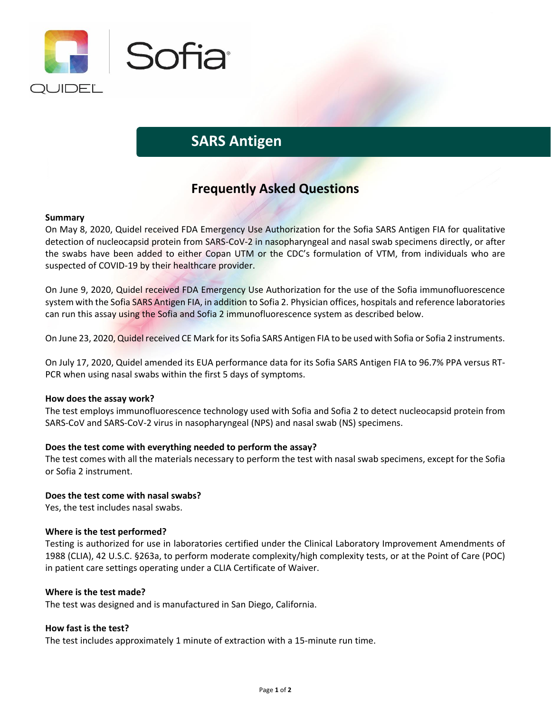

# **SARS Antigen**

# **Frequently Asked Questions**

# **Summary**

On May 8, 2020, Quidel received FDA Emergency Use Authorization for the Sofia SARS Antigen FIA for qualitative detection of nucleocapsid protein from SARS-CoV-2 in nasopharyngeal and nasal swab specimens directly, or after the swabs have been added to either Copan UTM or the CDC's formulation of VTM, from individuals who are suspected of COVID-19 by their healthcare provider.

On June 9, 2020, Quidel received FDA Emergency Use Authorization for the use of the Sofia immunofluorescence system with the Sofia SARS Antigen FIA, in addition to Sofia 2. Physician offices, hospitals and reference laboratories can run this assay using the Sofia and Sofia 2 immunofluorescence system as described below.

On June 23, 2020, Quidel received CE Mark for its Sofia SARS Antigen FIA to be used with Sofia or Sofia 2 instruments.

On July 17, 2020, Quidel amended its EUA performance data for its Sofia SARS Antigen FIA to 96.7% PPA versus RT-PCR when using nasal swabs within the first 5 days of symptoms.

#### **How does the assay work?**

The test employs immunofluorescence technology used with Sofia and Sofia 2 to detect nucleocapsid protein from SARS-CoV and SARS-CoV-2 virus in nasopharyngeal (NPS) and nasal swab (NS) specimens.

# **Does the test come with everything needed to perform the assay?**

The test comes with all the materials necessary to perform the test with nasal swab specimens, except for the Sofia or Sofia 2 instrument.

# **Does the test come with nasal swabs?**

Yes, the test includes nasal swabs.

#### **Where is the test performed?**

Testing is authorized for use in laboratories certified under the Clinical Laboratory Improvement Amendments of 1988 (CLIA), 42 U.S.C. §263a, to perform moderate complexity/high complexity tests, or at the Point of Care (POC) in patient care settings operating under a CLIA Certificate of Waiver.

#### **Where is the test made?**

The test was designed and is manufactured in San Diego, California.

# **How fast is the test?**

The test includes approximately 1 minute of extraction with a 15-minute run time.